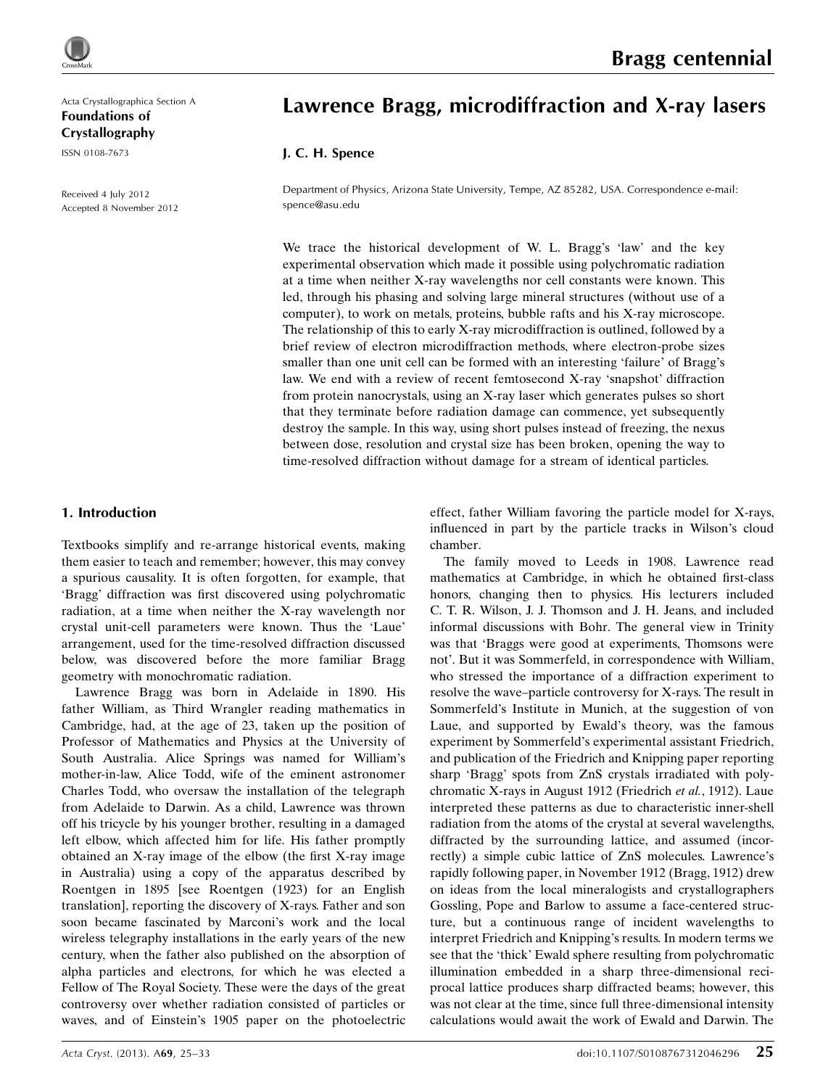Acta Crystallographica Section A Foundations of Crystallography

ISSN 0108-7673

Received 4 July 2012 Accepted 8 November 2012

# Lawrence Bragg, microdiffraction and X-ray lasers

## J. C. H. Spence

Department of Physics, Arizona State University, Tempe, AZ 85282, USA. Correspondence e-mail: [spence@asu.edu](http://scripts.iucr.org/cgi-bin/cr.cgi?rm=pdfbb&cnor=wl5167&bbid=BB58)

We trace the historical development of W. L. Bragg's 'law' and the key experimental observation which made it possible using polychromatic radiation at a time when neither X-ray wavelengths nor cell constants were known. This led, through his phasing and solving large mineral structures (without use of a computer), to work on metals, proteins, bubble rafts and his X-ray microscope. The relationship of this to early X-ray microdiffraction is outlined, followed by a brief review of electron microdiffraction methods, where electron-probe sizes smaller than one unit cell can be formed with an interesting 'failure' of Bragg's law. We end with a review of recent femtosecond X-ray 'snapshot' diffraction from protein nanocrystals, using an X-ray laser which generates pulses so short that they terminate before radiation damage can commence, yet subsequently destroy the sample. In this way, using short pulses instead of freezing, the nexus between dose, resolution and crystal size has been broken, opening the way to time-resolved diffraction without damage for a stream of identical particles.

## 1. Introduction

Textbooks simplify and re-arrange historical events, making them easier to teach and remember; however, this may convey a spurious causality. It is often forgotten, for example, that 'Bragg' diffraction was first discovered using polychromatic radiation, at a time when neither the X-ray wavelength nor crystal unit-cell parameters were known. Thus the 'Laue' arrangement, used for the time-resolved diffraction discussed below, was discovered before the more familiar Bragg geometry with monochromatic radiation.

Lawrence Bragg was born in Adelaide in 1890. His father William, as Third Wrangler reading mathematics in Cambridge, had, at the age of 23, taken up the position of Professor of Mathematics and Physics at the University of South Australia. Alice Springs was named for William's mother-in-law, Alice Todd, wife of the eminent astronomer Charles Todd, who oversaw the installation of the telegraph from Adelaide to Darwin. As a child, Lawrence was thrown off his tricycle by his younger brother, resulting in a damaged left elbow, which affected him for life. His father promptly obtained an X-ray image of the elbow (the first X-ray image in Australia) using a copy of the apparatus described by Roentgen in 1895 [see Roentgen (1923) for an English translation], reporting the discovery of X-rays. Father and son soon became fascinated by Marconi's work and the local wireless telegraphy installations in the early years of the new century, when the father also published on the absorption of alpha particles and electrons, for which he was elected a Fellow of The Royal Society. These were the days of the great controversy over whether radiation consisted of particles or waves, and of Einstein's 1905 paper on the photoelectric effect, father William favoring the particle model for X-rays, influenced in part by the particle tracks in Wilson's cloud chamber.

The family moved to Leeds in 1908. Lawrence read mathematics at Cambridge, in which he obtained first-class honors, changing then to physics. His lecturers included C. T. R. Wilson, J. J. Thomson and J. H. Jeans, and included informal discussions with Bohr. The general view in Trinity was that 'Braggs were good at experiments, Thomsons were not'. But it was Sommerfeld, in correspondence with William, who stressed the importance of a diffraction experiment to resolve the wave–particle controversy for X-rays. The result in Sommerfeld's Institute in Munich, at the suggestion of von Laue, and supported by Ewald's theory, was the famous experiment by Sommerfeld's experimental assistant Friedrich, and publication of the Friedrich and Knipping paper reporting sharp 'Bragg' spots from ZnS crystals irradiated with polychromatic X-rays in August 1912 (Friedrich et al., 1912). Laue interpreted these patterns as due to characteristic inner-shell radiation from the atoms of the crystal at several wavelengths, diffracted by the surrounding lattice, and assumed (incorrectly) a simple cubic lattice of ZnS molecules. Lawrence's rapidly following paper, in November 1912 (Bragg, 1912) drew on ideas from the local mineralogists and crystallographers Gossling, Pope and Barlow to assume a face-centered structure, but a continuous range of incident wavelengths to interpret Friedrich and Knipping's results. In modern terms we see that the 'thick' Ewald sphere resulting from polychromatic illumination embedded in a sharp three-dimensional reciprocal lattice produces sharp diffracted beams; however, this was not clear at the time, since full three-dimensional intensity calculations would await the work of Ewald and Darwin. The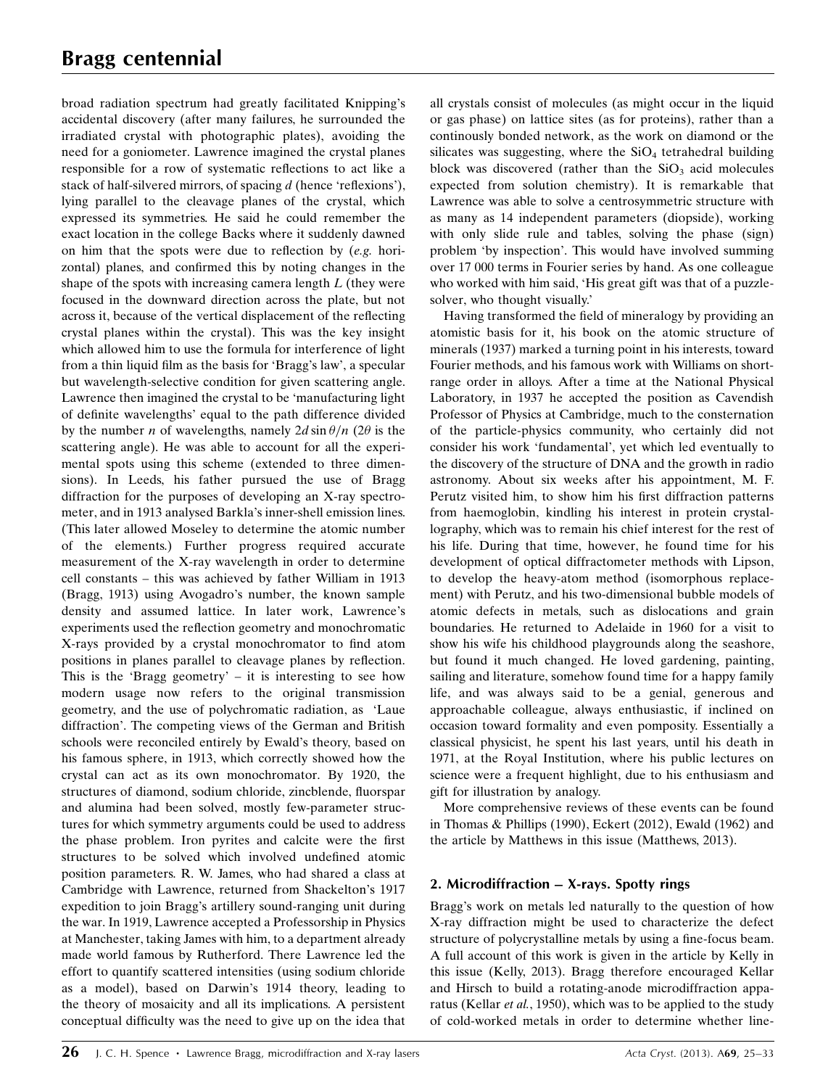broad radiation spectrum had greatly facilitated Knipping's accidental discovery (after many failures, he surrounded the irradiated crystal with photographic plates), avoiding the need for a goniometer. Lawrence imagined the crystal planes responsible for a row of systematic reflections to act like a stack of half-silvered mirrors, of spacing d (hence 'reflexions'), lying parallel to the cleavage planes of the crystal, which expressed its symmetries. He said he could remember the exact location in the college Backs where it suddenly dawned on him that the spots were due to reflection by (e.g. horizontal) planes, and confirmed this by noting changes in the shape of the spots with increasing camera length  $L$  (they were focused in the downward direction across the plate, but not across it, because of the vertical displacement of the reflecting crystal planes within the crystal). This was the key insight which allowed him to use the formula for interference of light from a thin liquid film as the basis for 'Bragg's law', a specular but wavelength-selective condition for given scattering angle. Lawrence then imagined the crystal to be 'manufacturing light of definite wavelengths' equal to the path difference divided by the number *n* of wavelengths, namely  $2d \sin \theta / n$  (2 $\theta$  is the scattering angle). He was able to account for all the experimental spots using this scheme (extended to three dimensions). In Leeds, his father pursued the use of Bragg diffraction for the purposes of developing an X-ray spectrometer, and in 1913 analysed Barkla's inner-shell emission lines. (This later allowed Moseley to determine the atomic number of the elements.) Further progress required accurate measurement of the X-ray wavelength in order to determine cell constants – this was achieved by father William in 1913 (Bragg, 1913) using Avogadro's number, the known sample density and assumed lattice. In later work, Lawrence's experiments used the reflection geometry and monochromatic X-rays provided by a crystal monochromator to find atom positions in planes parallel to cleavage planes by reflection. This is the 'Bragg geometry' – it is interesting to see how modern usage now refers to the original transmission geometry, and the use of polychromatic radiation, as 'Laue diffraction'. The competing views of the German and British schools were reconciled entirely by Ewald's theory, based on his famous sphere, in 1913, which correctly showed how the crystal can act as its own monochromator. By 1920, the structures of diamond, sodium chloride, zincblende, fluorspar and alumina had been solved, mostly few-parameter structures for which symmetry arguments could be used to address the phase problem. Iron pyrites and calcite were the first structures to be solved which involved undefined atomic position parameters. R. W. James, who had shared a class at Cambridge with Lawrence, returned from Shackelton's 1917 expedition to join Bragg's artillery sound-ranging unit during the war. In 1919, Lawrence accepted a Professorship in Physics at Manchester, taking James with him, to a department already made world famous by Rutherford. There Lawrence led the effort to quantify scattered intensities (using sodium chloride as a model), based on Darwin's 1914 theory, leading to the theory of mosaicity and all its implications. A persistent conceptual difficulty was the need to give up on the idea that

all crystals consist of molecules (as might occur in the liquid or gas phase) on lattice sites (as for proteins), rather than a continously bonded network, as the work on diamond or the silicates was suggesting, where the  $SiO<sub>4</sub>$  tetrahedral building block was discovered (rather than the  $SiO<sub>3</sub>$  acid molecules expected from solution chemistry). It is remarkable that Lawrence was able to solve a centrosymmetric structure with as many as 14 independent parameters (diopside), working with only slide rule and tables, solving the phase (sign) problem 'by inspection'. This would have involved summing over 17 000 terms in Fourier series by hand. As one colleague who worked with him said, 'His great gift was that of a puzzlesolver, who thought visually.'

Having transformed the field of mineralogy by providing an atomistic basis for it, his book on the atomic structure of minerals (1937) marked a turning point in his interests, toward Fourier methods, and his famous work with Williams on shortrange order in alloys. After a time at the National Physical Laboratory, in 1937 he accepted the position as Cavendish Professor of Physics at Cambridge, much to the consternation of the particle-physics community, who certainly did not consider his work 'fundamental', yet which led eventually to the discovery of the structure of DNA and the growth in radio astronomy. About six weeks after his appointment, M. F. Perutz visited him, to show him his first diffraction patterns from haemoglobin, kindling his interest in protein crystallography, which was to remain his chief interest for the rest of his life. During that time, however, he found time for his development of optical diffractometer methods with Lipson, to develop the heavy-atom method (isomorphous replacement) with Perutz, and his two-dimensional bubble models of atomic defects in metals, such as dislocations and grain boundaries. He returned to Adelaide in 1960 for a visit to show his wife his childhood playgrounds along the seashore, but found it much changed. He loved gardening, painting, sailing and literature, somehow found time for a happy family life, and was always said to be a genial, generous and approachable colleague, always enthusiastic, if inclined on occasion toward formality and even pomposity. Essentially a classical physicist, he spent his last years, until his death in 1971, at the Royal Institution, where his public lectures on science were a frequent highlight, due to his enthusiasm and gift for illustration by analogy.

More comprehensive reviews of these events can be found in Thomas & Phillips (1990), Eckert (2012), Ewald (1962) and the article by Matthews in this issue (Matthews, 2013).

# 2. Microdiffraction – X-rays. Spotty rings

Bragg's work on metals led naturally to the question of how X-ray diffraction might be used to characterize the defect structure of polycrystalline metals by using a fine-focus beam. A full account of this work is given in the article by Kelly in this issue (Kelly, 2013). Bragg therefore encouraged Kellar and Hirsch to build a rotating-anode microdiffraction apparatus (Kellar et al., 1950), which was to be applied to the study of cold-worked metals in order to determine whether line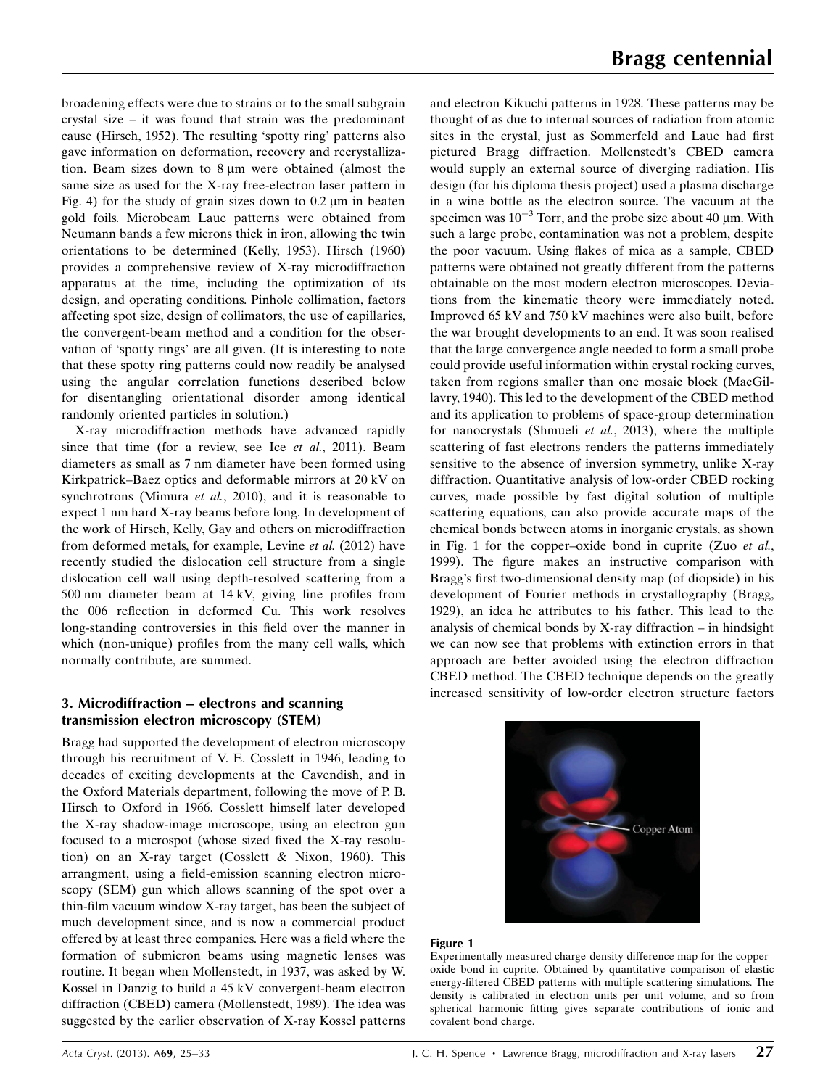broadening effects were due to strains or to the small subgrain crystal size – it was found that strain was the predominant cause (Hirsch, 1952). The resulting 'spotty ring' patterns also gave information on deformation, recovery and recrystallization. Beam sizes down to  $8 \mu m$  were obtained (almost the same size as used for the X-ray free-electron laser pattern in Fig. 4) for the study of grain sizes down to  $0.2 \mu m$  in beaten gold foils. Microbeam Laue patterns were obtained from Neumann bands a few microns thick in iron, allowing the twin orientations to be determined (Kelly, 1953). Hirsch (1960) provides a comprehensive review of X-ray microdiffraction apparatus at the time, including the optimization of its design, and operating conditions. Pinhole collimation, factors affecting spot size, design of collimators, the use of capillaries, the convergent-beam method and a condition for the observation of 'spotty rings' are all given. (It is interesting to note that these spotty ring patterns could now readily be analysed using the angular correlation functions described below for disentangling orientational disorder among identical randomly oriented particles in solution.)

X-ray microdiffraction methods have advanced rapidly since that time (for a review, see Ice et al., 2011). Beam diameters as small as 7 nm diameter have been formed using Kirkpatrick–Baez optics and deformable mirrors at 20 kV on synchrotrons (Mimura *et al.*, 2010), and it is reasonable to expect 1 nm hard X-ray beams before long. In development of the work of Hirsch, Kelly, Gay and others on microdiffraction from deformed metals, for example, Levine et al. (2012) have recently studied the dislocation cell structure from a single dislocation cell wall using depth-resolved scattering from a 500 nm diameter beam at 14 kV, giving line profiles from the 006 reflection in deformed Cu. This work resolves long-standing controversies in this field over the manner in which (non-unique) profiles from the many cell walls, which normally contribute, are summed.

## 3. Microdiffraction – electrons and scanning transmission electron microscopy (STEM)

Bragg had supported the development of electron microscopy through his recruitment of V. E. Cosslett in 1946, leading to decades of exciting developments at the Cavendish, and in the Oxford Materials department, following the move of P. B. Hirsch to Oxford in 1966. Cosslett himself later developed the X-ray shadow-image microscope, using an electron gun focused to a microspot (whose sized fixed the X-ray resolution) on an X-ray target (Cosslett & Nixon, 1960). This arrangment, using a field-emission scanning electron microscopy (SEM) gun which allows scanning of the spot over a thin-film vacuum window X-ray target, has been the subject of much development since, and is now a commercial product offered by at least three companies. Here was a field where the formation of submicron beams using magnetic lenses was routine. It began when Mollenstedt, in 1937, was asked by W. Kossel in Danzig to build a 45 kV convergent-beam electron diffraction (CBED) camera (Mollenstedt, 1989). The idea was suggested by the earlier observation of X-ray Kossel patterns and electron Kikuchi patterns in 1928. These patterns may be thought of as due to internal sources of radiation from atomic sites in the crystal, just as Sommerfeld and Laue had first pictured Bragg diffraction. Mollenstedt's CBED camera would supply an external source of diverging radiation. His design (for his diploma thesis project) used a plasma discharge in a wine bottle as the electron source. The vacuum at the specimen was  $10^{-3}$  Torr, and the probe size about 40 µm. With such a large probe, contamination was not a problem, despite the poor vacuum. Using flakes of mica as a sample, CBED patterns were obtained not greatly different from the patterns obtainable on the most modern electron microscopes. Deviations from the kinematic theory were immediately noted. Improved 65 kV and 750 kV machines were also built, before the war brought developments to an end. It was soon realised that the large convergence angle needed to form a small probe could provide useful information within crystal rocking curves, taken from regions smaller than one mosaic block (MacGillavry, 1940). This led to the development of the CBED method and its application to problems of space-group determination for nanocrystals (Shmueli et al., 2013), where the multiple scattering of fast electrons renders the patterns immediately sensitive to the absence of inversion symmetry, unlike X-ray diffraction. Quantitative analysis of low-order CBED rocking curves, made possible by fast digital solution of multiple scattering equations, can also provide accurate maps of the chemical bonds between atoms in inorganic crystals, as shown in Fig. 1 for the copper–oxide bond in cuprite (Zuo et al., 1999). The figure makes an instructive comparison with Bragg's first two-dimensional density map (of diopside) in his development of Fourier methods in crystallography (Bragg, 1929), an idea he attributes to his father. This lead to the analysis of chemical bonds by X-ray diffraction – in hindsight we can now see that problems with extinction errors in that approach are better avoided using the electron diffraction CBED method. The CBED technique depends on the greatly increased sensitivity of low-order electron structure factors



## Figure 1

Experimentally measured charge-density difference map for the copper– oxide bond in cuprite. Obtained by quantitative comparison of elastic energy-filtered CBED patterns with multiple scattering simulations. The density is calibrated in electron units per unit volume, and so from spherical harmonic fitting gives separate contributions of ionic and covalent bond charge.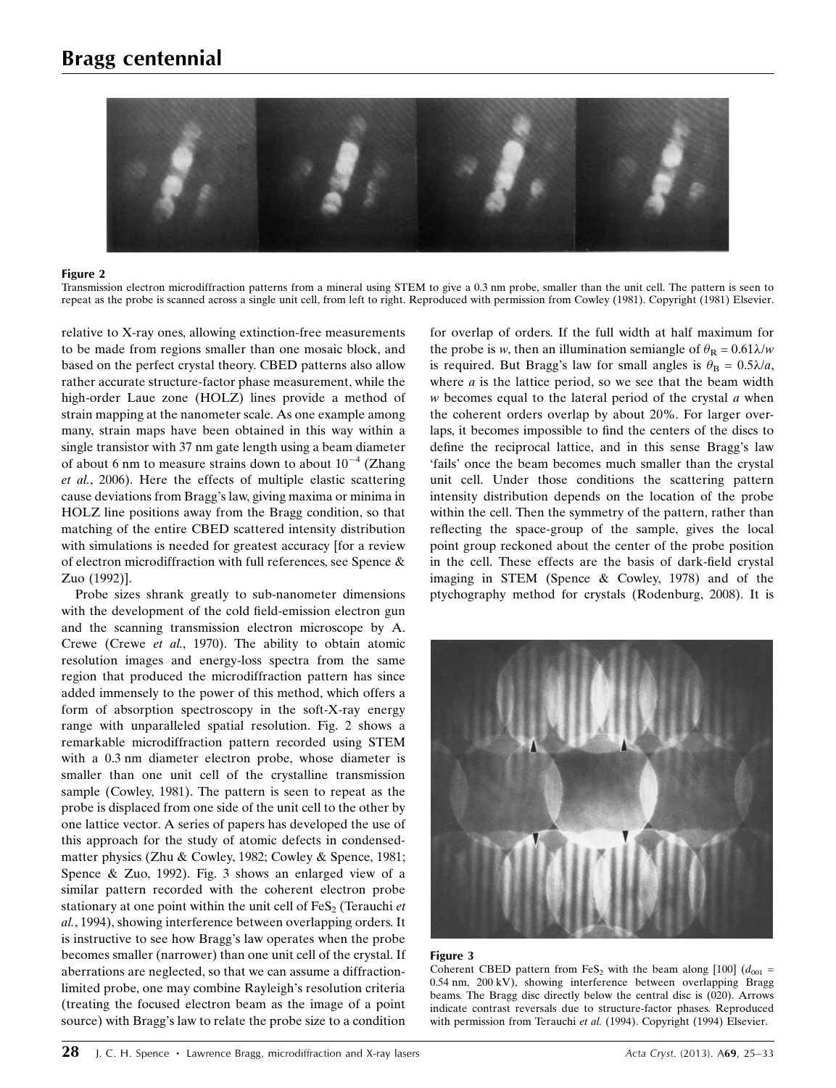# Bragg centennial



#### Figure 2

Transmission electron microdiffraction patterns from a mineral using STEM to give a 0.3 nm probe, smaller than the unit cell. The pattern is seen to repeat as the probe is scanned across a single unit cell, from left to right. Reproduced with permission from Cowley (1981). Copyright (1981) Elsevier.

relative to X-ray ones, allowing extinction-free measurements to be made from regions smaller than one mosaic block, and based on the perfect crystal theory. CBED patterns also allow rather accurate structure-factor phase measurement, while the high-order Laue zone (HOLZ) lines provide a method of strain mapping at the nanometer scale. As one example among many, strain maps have been obtained in this way within a single transistor with 37 nm gate length using a beam diameter of about 6 nm to measure strains down to about  $10^{-4}$  (Zhang et al., 2006). Here the effects of multiple elastic scattering cause deviations from Bragg's law, giving maxima or minima in HOLZ line positions away from the Bragg condition, so that matching of the entire CBED scattered intensity distribution with simulations is needed for greatest accuracy [for a review of electron microdiffraction with full references, see Spence & Zuo (1992)].

Probe sizes shrank greatly to sub-nanometer dimensions with the development of the cold field-emission electron gun and the scanning transmission electron microscope by A. Crewe (Crewe et al., 1970). The ability to obtain atomic resolution images and energy-loss spectra from the same region that produced the microdiffraction pattern has since added immensely to the power of this method, which offers a form of absorption spectroscopy in the soft-X-ray energy range with unparalleled spatial resolution. Fig. 2 shows a remarkable microdiffraction pattern recorded using STEM with a 0.3 nm diameter electron probe, whose diameter is smaller than one unit cell of the crystalline transmission sample (Cowley, 1981). The pattern is seen to repeat as the probe is displaced from one side of the unit cell to the other by one lattice vector. A series of papers has developed the use of this approach for the study of atomic defects in condensedmatter physics (Zhu & Cowley, 1982; Cowley & Spence, 1981; Spence & Zuo, 1992). Fig. 3 shows an enlarged view of a similar pattern recorded with the coherent electron probe stationary at one point within the unit cell of  $FeS<sub>2</sub>$  (Terauchi *et*) al., 1994), showing interference between overlapping orders. It is instructive to see how Bragg's law operates when the probe becomes smaller (narrower) than one unit cell of the crystal. If aberrations are neglected, so that we can assume a diffractionlimited probe, one may combine Rayleigh's resolution criteria (treating the focused electron beam as the image of a point source) with Bragg's law to relate the probe size to a condition for overlap of orders. If the full width at half maximum for the probe is w, then an illumination semiangle of  $\theta_R = 0.61 \lambda/w$ is required. But Bragg's law for small angles is  $\theta_{\rm B} = 0.5\lambda/a$ , where  $a$  is the lattice period, so we see that the beam width w becomes equal to the lateral period of the crystal  $\alpha$  when the coherent orders overlap by about 20%. For larger overlaps, it becomes impossible to find the centers of the discs to define the reciprocal lattice, and in this sense Bragg's law 'fails' once the beam becomes much smaller than the crystal unit cell. Under those conditions the scattering pattern intensity distribution depends on the location of the probe within the cell. Then the symmetry of the pattern, rather than reflecting the space-group of the sample, gives the local point group reckoned about the center of the probe position in the cell. These effects are the basis of dark-field crystal imaging in STEM (Spence & Cowley, 1978) and of the ptychography method for crystals (Rodenburg, 2008). It is



#### Figure 3

Coherent CBED pattern from FeS<sub>2</sub> with the beam along [100] ( $d_{001}$  = 0.54 nm, 200 kV), showing interference between overlapping Bragg beams. The Bragg disc directly below the central disc is (020). Arrows indicate contrast reversals due to structure-factor phases. Reproduced with permission from Terauchi et al. (1994). Copyright (1994) Elsevier.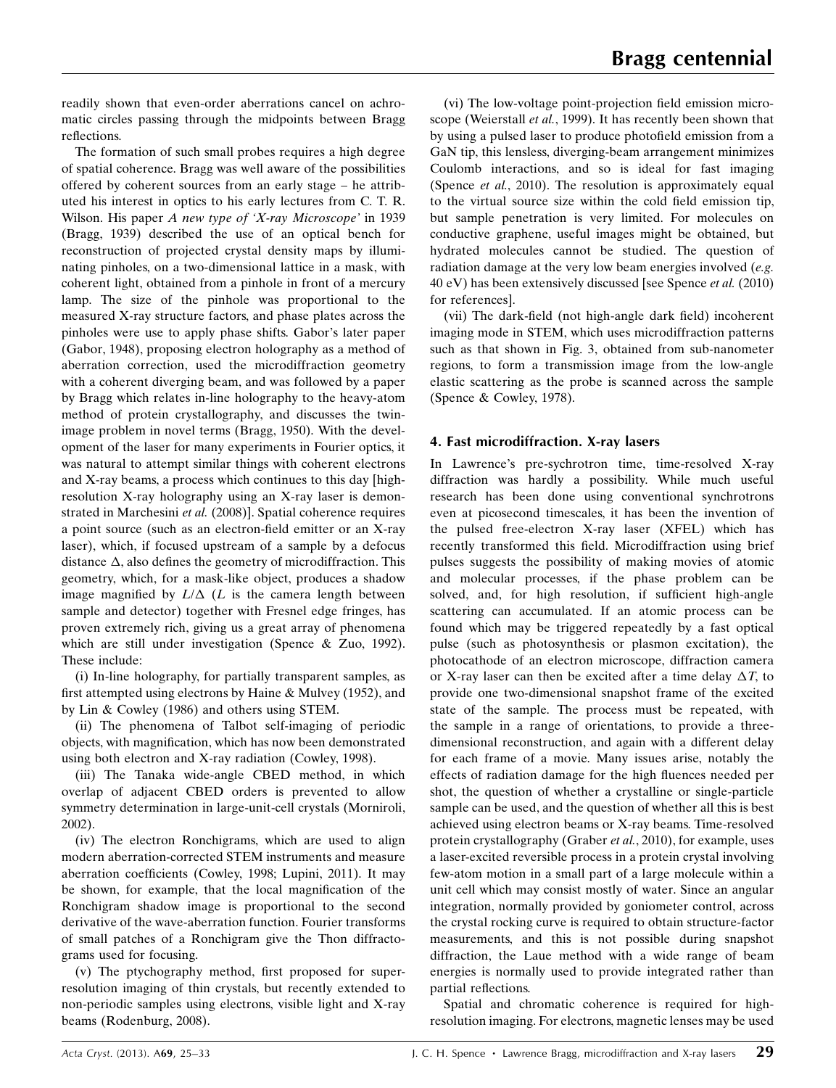readily shown that even-order aberrations cancel on achromatic circles passing through the midpoints between Bragg reflections.

The formation of such small probes requires a high degree of spatial coherence. Bragg was well aware of the possibilities offered by coherent sources from an early stage – he attributed his interest in optics to his early lectures from C. T. R. Wilson. His paper A new type of 'X-ray Microscope' in 1939 (Bragg, 1939) described the use of an optical bench for reconstruction of projected crystal density maps by illuminating pinholes, on a two-dimensional lattice in a mask, with coherent light, obtained from a pinhole in front of a mercury lamp. The size of the pinhole was proportional to the measured X-ray structure factors, and phase plates across the pinholes were use to apply phase shifts. Gabor's later paper (Gabor, 1948), proposing electron holography as a method of aberration correction, used the microdiffraction geometry with a coherent diverging beam, and was followed by a paper by Bragg which relates in-line holography to the heavy-atom method of protein crystallography, and discusses the twinimage problem in novel terms (Bragg, 1950). With the development of the laser for many experiments in Fourier optics, it was natural to attempt similar things with coherent electrons and X-ray beams, a process which continues to this day [highresolution X-ray holography using an X-ray laser is demonstrated in Marchesini et al. (2008)]. Spatial coherence requires a point source (such as an electron-field emitter or an X-ray laser), which, if focused upstream of a sample by a defocus distance  $\Delta$ , also defines the geometry of microdiffraction. This geometry, which, for a mask-like object, produces a shadow image magnified by  $L/\Delta$  (L is the camera length between sample and detector) together with Fresnel edge fringes, has proven extremely rich, giving us a great array of phenomena which are still under investigation (Spence & Zuo, 1992). These include:

(i) In-line holography, for partially transparent samples, as first attempted using electrons by Haine & Mulvey (1952), and by Lin & Cowley (1986) and others using STEM.

(ii) The phenomena of Talbot self-imaging of periodic objects, with magnification, which has now been demonstrated using both electron and X-ray radiation (Cowley, 1998).

(iii) The Tanaka wide-angle CBED method, in which overlap of adjacent CBED orders is prevented to allow symmetry determination in large-unit-cell crystals (Morniroli, 2002).

(iv) The electron Ronchigrams, which are used to align modern aberration-corrected STEM instruments and measure aberration coefficients (Cowley, 1998; Lupini, 2011). It may be shown, for example, that the local magnification of the Ronchigram shadow image is proportional to the second derivative of the wave-aberration function. Fourier transforms of small patches of a Ronchigram give the Thon diffractograms used for focusing.

(v) The ptychography method, first proposed for superresolution imaging of thin crystals, but recently extended to non-periodic samples using electrons, visible light and X-ray beams (Rodenburg, 2008).

(vi) The low-voltage point-projection field emission microscope (Weierstall et al., 1999). It has recently been shown that by using a pulsed laser to produce photofield emission from a GaN tip, this lensless, diverging-beam arrangement minimizes Coulomb interactions, and so is ideal for fast imaging (Spence et al., 2010). The resolution is approximately equal to the virtual source size within the cold field emission tip, but sample penetration is very limited. For molecules on conductive graphene, useful images might be obtained, but hydrated molecules cannot be studied. The question of radiation damage at the very low beam energies involved (e.g. 40 eV) has been extensively discussed [see Spence et al. (2010) for references].

(vii) The dark-field (not high-angle dark field) incoherent imaging mode in STEM, which uses microdiffraction patterns such as that shown in Fig. 3, obtained from sub-nanometer regions, to form a transmission image from the low-angle elastic scattering as the probe is scanned across the sample (Spence & Cowley, 1978).

# 4. Fast microdiffraction. X-ray lasers

In Lawrence's pre-sychrotron time, time-resolved X-ray diffraction was hardly a possibility. While much useful research has been done using conventional synchrotrons even at picosecond timescales, it has been the invention of the pulsed free-electron X-ray laser (XFEL) which has recently transformed this field. Microdiffraction using brief pulses suggests the possibility of making movies of atomic and molecular processes, if the phase problem can be solved, and, for high resolution, if sufficient high-angle scattering can accumulated. If an atomic process can be found which may be triggered repeatedly by a fast optical pulse (such as photosynthesis or plasmon excitation), the photocathode of an electron microscope, diffraction camera or X-ray laser can then be excited after a time delay  $\Delta T$ , to provide one two-dimensional snapshot frame of the excited state of the sample. The process must be repeated, with the sample in a range of orientations, to provide a threedimensional reconstruction, and again with a different delay for each frame of a movie. Many issues arise, notably the effects of radiation damage for the high fluences needed per shot, the question of whether a crystalline or single-particle sample can be used, and the question of whether all this is best achieved using electron beams or X-ray beams. Time-resolved protein crystallography (Graber et al., 2010), for example, uses a laser-excited reversible process in a protein crystal involving few-atom motion in a small part of a large molecule within a unit cell which may consist mostly of water. Since an angular integration, normally provided by goniometer control, across the crystal rocking curve is required to obtain structure-factor measurements, and this is not possible during snapshot diffraction, the Laue method with a wide range of beam energies is normally used to provide integrated rather than partial reflections.

Spatial and chromatic coherence is required for highresolution imaging. For electrons, magnetic lenses may be used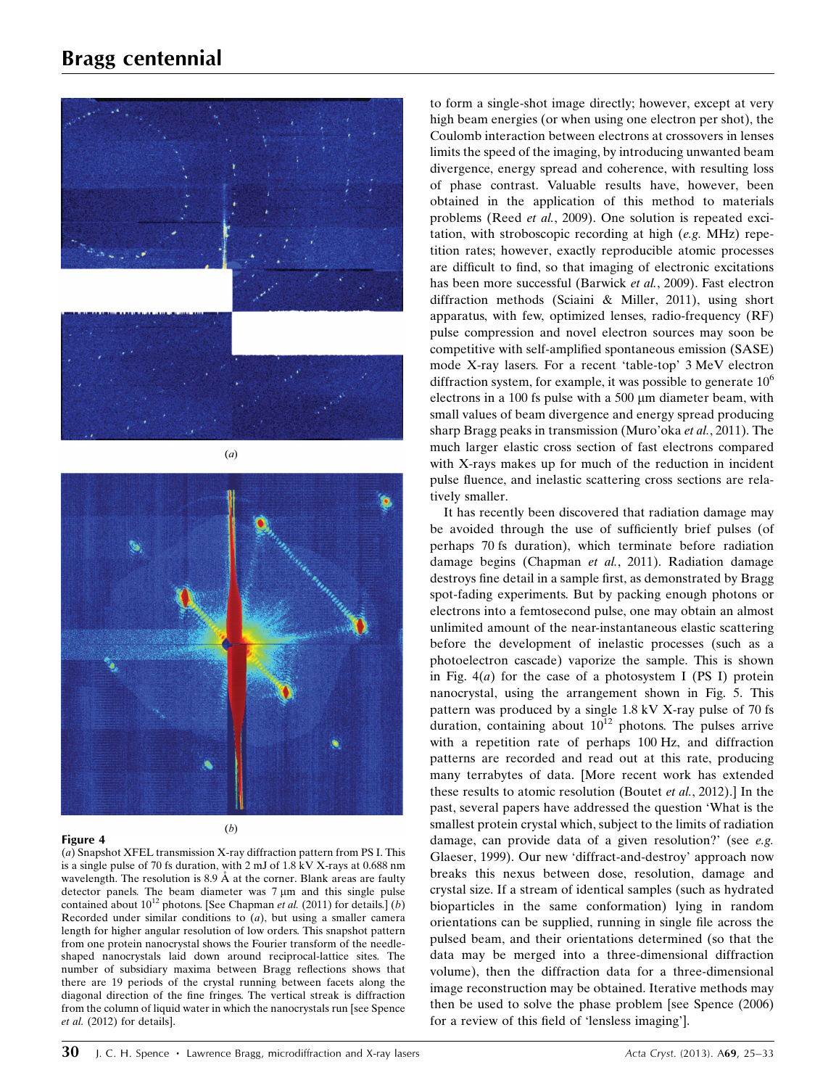# Bragg centennial



 $(a)$ 



#### Figure 4

(a) Snapshot XFEL transmission X-ray diffraction pattern from PS I. This is a single pulse of 70 fs duration, with 2 mJ of 1.8 kV X-rays at 0.688 nm wavelength. The resolution is  $8.9 \text{ Å}$  at the corner. Blank areas are faulty detector panels. The beam diameter was  $7 \mu m$  and this single pulse contained about  $10^{12}$  photons. [See Chapman *et al.* (2011) for details.] (*b*) Recorded under similar conditions to  $(a)$ , but using a smaller camera length for higher angular resolution of low orders. This snapshot pattern from one protein nanocrystal shows the Fourier transform of the needleshaped nanocrystals laid down around reciprocal-lattice sites. The number of subsidiary maxima between Bragg reflections shows that there are 19 periods of the crystal running between facets along the diagonal direction of the fine fringes. The vertical streak is diffraction from the column of liquid water in which the nanocrystals run [see Spence et al. (2012) for details].

to form a single-shot image directly; however, except at very high beam energies (or when using one electron per shot), the Coulomb interaction between electrons at crossovers in lenses limits the speed of the imaging, by introducing unwanted beam divergence, energy spread and coherence, with resulting loss of phase contrast. Valuable results have, however, been obtained in the application of this method to materials problems (Reed et al., 2009). One solution is repeated excitation, with stroboscopic recording at high (e.g. MHz) repetition rates; however, exactly reproducible atomic processes are difficult to find, so that imaging of electronic excitations has been more successful (Barwick et al., 2009). Fast electron diffraction methods (Sciaini & Miller, 2011), using short apparatus, with few, optimized lenses, radio-frequency (RF) pulse compression and novel electron sources may soon be competitive with self-amplified spontaneous emission (SASE) mode X-ray lasers. For a recent 'table-top' 3 MeV electron diffraction system, for example, it was possible to generate  $10<sup>6</sup>$ electrons in a 100 fs pulse with a 500  $\mu$ m diameter beam, with small values of beam divergence and energy spread producing sharp Bragg peaks in transmission (Muro'oka et al., 2011). The much larger elastic cross section of fast electrons compared with X-rays makes up for much of the reduction in incident pulse fluence, and inelastic scattering cross sections are relatively smaller.

It has recently been discovered that radiation damage may be avoided through the use of sufficiently brief pulses (of perhaps 70 fs duration), which terminate before radiation damage begins (Chapman et al., 2011). Radiation damage destroys fine detail in a sample first, as demonstrated by Bragg spot-fading experiments. But by packing enough photons or electrons into a femtosecond pulse, one may obtain an almost unlimited amount of the near-instantaneous elastic scattering before the development of inelastic processes (such as a photoelectron cascade) vaporize the sample. This is shown in Fig.  $4(a)$  for the case of a photosystem I (PS I) protein nanocrystal, using the arrangement shown in Fig. 5. This pattern was produced by a single 1.8 kV X-ray pulse of 70 fs duration, containing about  $10^{12}$  photons. The pulses arrive with a repetition rate of perhaps 100 Hz, and diffraction patterns are recorded and read out at this rate, producing many terrabytes of data. [More recent work has extended these results to atomic resolution (Boutet et al., 2012).] In the past, several papers have addressed the question 'What is the smallest protein crystal which, subject to the limits of radiation damage, can provide data of a given resolution?' (see *e.g.* Glaeser, 1999). Our new 'diffract-and-destroy' approach now breaks this nexus between dose, resolution, damage and crystal size. If a stream of identical samples (such as hydrated bioparticles in the same conformation) lying in random orientations can be supplied, running in single file across the pulsed beam, and their orientations determined (so that the data may be merged into a three-dimensional diffraction volume), then the diffraction data for a three-dimensional image reconstruction may be obtained. Iterative methods may then be used to solve the phase problem [see Spence (2006) for a review of this field of 'lensless imaging'].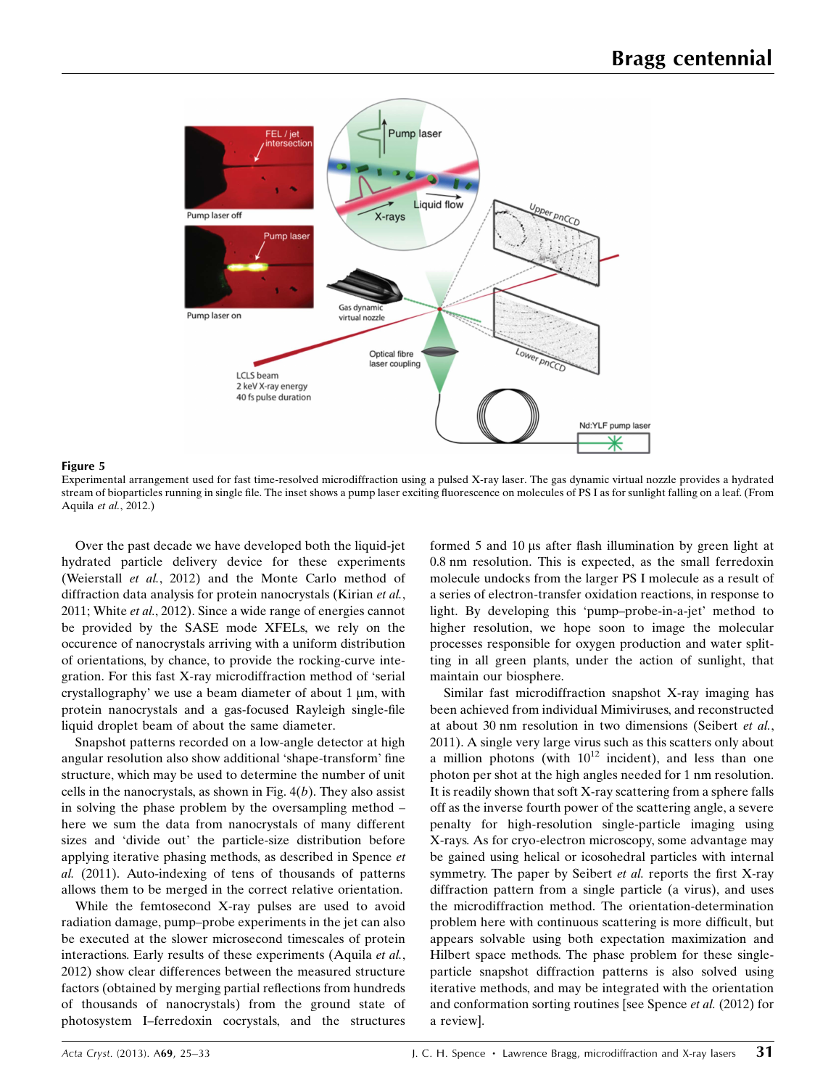

#### Figure 5

Experimental arrangement used for fast time-resolved microdiffraction using a pulsed X-ray laser. The gas dynamic virtual nozzle provides a hydrated stream of bioparticles running in single file. The inset shows a pump laser exciting fluorescence on molecules of PS I as for sunlight falling on a leaf. (From Aquila et al., 2012.)

Over the past decade we have developed both the liquid-jet hydrated particle delivery device for these experiments (Weierstall et al., 2012) and the Monte Carlo method of diffraction data analysis for protein nanocrystals (Kirian et al., 2011; White *et al.*, 2012). Since a wide range of energies cannot be provided by the SASE mode XFELs, we rely on the occurence of nanocrystals arriving with a uniform distribution of orientations, by chance, to provide the rocking-curve integration. For this fast X-ray microdiffraction method of 'serial crystallography' we use a beam diameter of about  $1 \mu m$ , with protein nanocrystals and a gas-focused Rayleigh single-file liquid droplet beam of about the same diameter.

Snapshot patterns recorded on a low-angle detector at high angular resolution also show additional 'shape-transform' fine structure, which may be used to determine the number of unit cells in the nanocrystals, as shown in Fig.  $4(b)$ . They also assist in solving the phase problem by the oversampling method – here we sum the data from nanocrystals of many different sizes and 'divide out' the particle-size distribution before applying iterative phasing methods, as described in Spence et al. (2011). Auto-indexing of tens of thousands of patterns allows them to be merged in the correct relative orientation.

While the femtosecond X-ray pulses are used to avoid radiation damage, pump–probe experiments in the jet can also be executed at the slower microsecond timescales of protein interactions. Early results of these experiments (Aquila et al., 2012) show clear differences between the measured structure factors (obtained by merging partial reflections from hundreds of thousands of nanocrystals) from the ground state of photosystem I–ferredoxin cocrystals, and the structures formed 5 and 10  $\mu$ s after flash illumination by green light at 0.8 nm resolution. This is expected, as the small ferredoxin molecule undocks from the larger PS I molecule as a result of a series of electron-transfer oxidation reactions, in response to light. By developing this 'pump–probe-in-a-jet' method to higher resolution, we hope soon to image the molecular processes responsible for oxygen production and water splitting in all green plants, under the action of sunlight, that maintain our biosphere.

Similar fast microdiffraction snapshot X-ray imaging has been achieved from individual Mimiviruses, and reconstructed at about 30 nm resolution in two dimensions (Seibert et al., 2011). A single very large virus such as this scatters only about a million photons (with  $10^{12}$  incident), and less than one photon per shot at the high angles needed for 1 nm resolution. It is readily shown that soft X-ray scattering from a sphere falls off as the inverse fourth power of the scattering angle, a severe penalty for high-resolution single-particle imaging using X-rays. As for cryo-electron microscopy, some advantage may be gained using helical or icosohedral particles with internal symmetry. The paper by Seibert *et al.* reports the first X-ray diffraction pattern from a single particle (a virus), and uses the microdiffraction method. The orientation-determination problem here with continuous scattering is more difficult, but appears solvable using both expectation maximization and Hilbert space methods. The phase problem for these singleparticle snapshot diffraction patterns is also solved using iterative methods, and may be integrated with the orientation and conformation sorting routines [see Spence et al. (2012) for a review].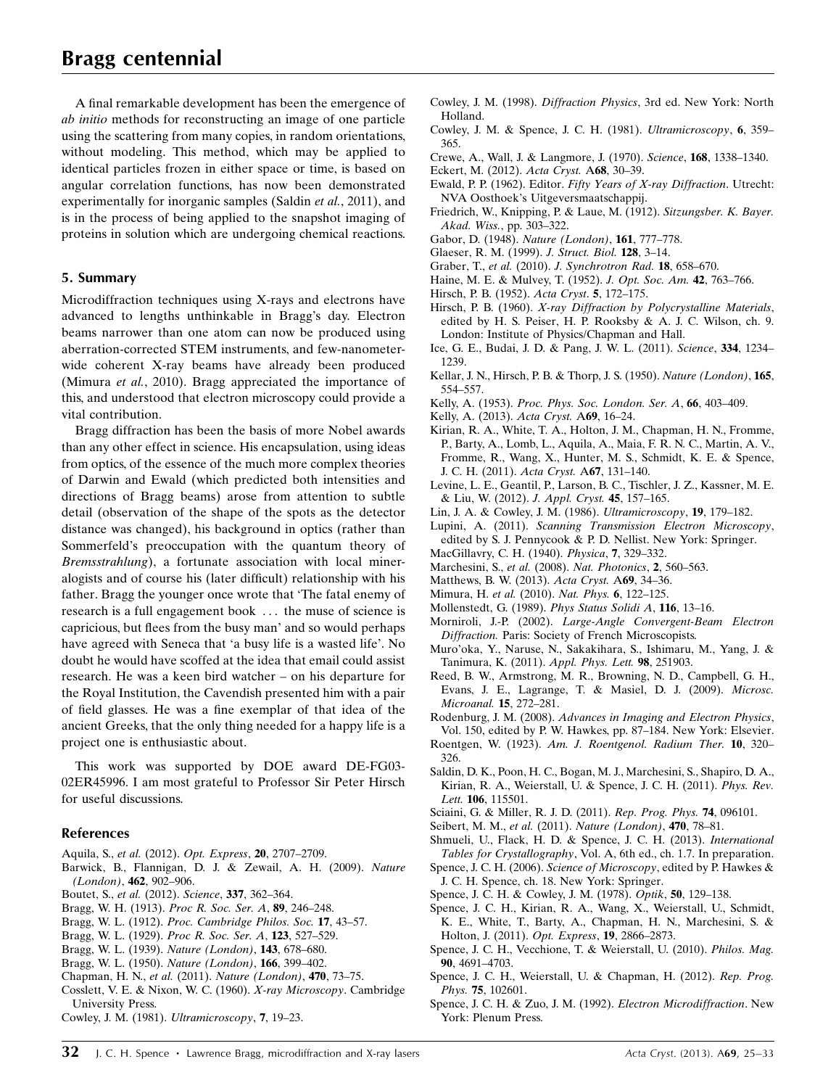A final remarkable development has been the emergence of ab initio methods for reconstructing an image of one particle using the scattering from many copies, in random orientations, without modeling. This method, which may be applied to identical particles frozen in either space or time, is based on angular correlation functions, has now been demonstrated experimentally for inorganic samples (Saldin et al., 2011), and is in the process of being applied to the snapshot imaging of proteins in solution which are undergoing chemical reactions.

## 5. Summary

Microdiffraction techniques using X-rays and electrons have advanced to lengths unthinkable in Bragg's day. Electron beams narrower than one atom can now be produced using aberration-corrected STEM instruments, and few-nanometerwide coherent X-ray beams have already been produced (Mimura et al., 2010). Bragg appreciated the importance of this, and understood that electron microscopy could provide a vital contribution.

Bragg diffraction has been the basis of more Nobel awards than any other effect in science. His encapsulation, using ideas from optics, of the essence of the much more complex theories of Darwin and Ewald (which predicted both intensities and directions of Bragg beams) arose from attention to subtle detail (observation of the shape of the spots as the detector distance was changed), his background in optics (rather than Sommerfeld's preoccupation with the quantum theory of Bremsstrahlung), a fortunate association with local mineralogists and of course his (later difficult) relationship with his father. Bragg the younger once wrote that 'The fatal enemy of research is a full engagement book ... the muse of science is capricious, but flees from the busy man' and so would perhaps have agreed with Seneca that 'a busy life is a wasted life'. No doubt he would have scoffed at the idea that email could assist research. He was a keen bird watcher – on his departure for the Royal Institution, the Cavendish presented him with a pair of field glasses. He was a fine exemplar of that idea of the ancient Greeks, that the only thing needed for a happy life is a project one is enthusiastic about.

This work was supported by DOE award DE-FG03- 02ER45996. I am most grateful to Professor Sir Peter Hirsch for useful discussions.

## References

- Aquila, S., et al. (2012). [Opt. Express](http://scripts.iucr.org/cgi-bin/cr.cgi?rm=pdfbb&cnor=wl5167&bbid=BB1), 20, 2707–2709.
- [Barwick, B., Flannigan, D. J. & Zewail, A. H. \(2009\).](http://scripts.iucr.org/cgi-bin/cr.cgi?rm=pdfbb&cnor=wl5167&bbid=BB2) Nature (London), 462[, 902–906.](http://scripts.iucr.org/cgi-bin/cr.cgi?rm=pdfbb&cnor=wl5167&bbid=BB2)
- [Boutet, S.,](http://scripts.iucr.org/cgi-bin/cr.cgi?rm=pdfbb&cnor=wl5167&bbid=BB3) et al. (2012). Science, 337, 362–364.
- [Bragg, W. H. \(1913\).](http://scripts.iucr.org/cgi-bin/cr.cgi?rm=pdfbb&cnor=wl5167&bbid=BB4) Proc R. Soc. Ser. A, 89, 246–248.
- Bragg, W. L. (1912). [Proc. Cambridge Philos. Soc.](http://scripts.iucr.org/cgi-bin/cr.cgi?rm=pdfbb&cnor=wl5167&bbid=BB5) 17, 43–57.
- [Bragg, W. L. \(1929\).](http://scripts.iucr.org/cgi-bin/cr.cgi?rm=pdfbb&cnor=wl5167&bbid=BB6) Proc R. Soc. Ser. A, 123, 527–529.
- [Bragg, W. L. \(1939\).](http://scripts.iucr.org/cgi-bin/cr.cgi?rm=pdfbb&cnor=wl5167&bbid=BB7) Nature (London), 143, 678–680.
- [Bragg, W. L. \(1950\).](http://scripts.iucr.org/cgi-bin/cr.cgi?rm=pdfbb&cnor=wl5167&bbid=BB8) Nature (London), 166, 399–402.
- Chapman, H. N., et al. (2011). [Nature \(London\)](http://scripts.iucr.org/cgi-bin/cr.cgi?rm=pdfbb&cnor=wl5167&bbid=BB9), 470, 73–75.
- [Cosslett, V. E. & Nixon, W. C. \(1960\).](http://scripts.iucr.org/cgi-bin/cr.cgi?rm=pdfbb&cnor=wl5167&bbid=BB10) X-ray Microscopy. Cambridge [University Press.](http://scripts.iucr.org/cgi-bin/cr.cgi?rm=pdfbb&cnor=wl5167&bbid=BB10)
- [Cowley, J. M. \(1981\).](http://scripts.iucr.org/cgi-bin/cr.cgi?rm=pdfbb&cnor=wl5167&bbid=BB11) Ultramicroscopy, 7, 19–23.
- Cowley, J. M. (1998). Diffraction Physics[, 3rd ed. New York: North](http://scripts.iucr.org/cgi-bin/cr.cgi?rm=pdfbb&cnor=wl5167&bbid=BB13) [Holland.](http://scripts.iucr.org/cgi-bin/cr.cgi?rm=pdfbb&cnor=wl5167&bbid=BB13)
- [Cowley, J. M. & Spence, J. C. H. \(1981\).](http://scripts.iucr.org/cgi-bin/cr.cgi?rm=pdfbb&cnor=wl5167&bbid=BB12) Ultramicroscopy, 6, 359– [365.](http://scripts.iucr.org/cgi-bin/cr.cgi?rm=pdfbb&cnor=wl5167&bbid=BB12)
- [Crewe, A., Wall, J. & Langmore, J. \(1970\).](http://scripts.iucr.org/cgi-bin/cr.cgi?rm=pdfbb&cnor=wl5167&bbid=BB14) Science, 168, 1338–1340.
- [Eckert, M. \(2012\).](http://scripts.iucr.org/cgi-bin/cr.cgi?rm=pdfbb&cnor=wl5167&bbid=BB15) Acta Cryst. A68, 30–39.
- Ewald, P. P. (1962). Editor. [Fifty Years of X-ray Diffraction](http://scripts.iucr.org/cgi-bin/cr.cgi?rm=pdfbb&cnor=wl5167&bbid=BB16). Utrecht: [NVA Oosthoek's Uitgeversmaatschappij.](http://scripts.iucr.org/cgi-bin/cr.cgi?rm=pdfbb&cnor=wl5167&bbid=BB16)
- [Friedrich, W., Knipping, P. & Laue, M. \(1912\).](http://scripts.iucr.org/cgi-bin/cr.cgi?rm=pdfbb&cnor=wl5167&bbid=BB17) Sitzungsber. K. Bayer. Akad. Wiss.[, pp. 303–322.](http://scripts.iucr.org/cgi-bin/cr.cgi?rm=pdfbb&cnor=wl5167&bbid=BB17)
- [Gabor, D. \(1948\).](http://scripts.iucr.org/cgi-bin/cr.cgi?rm=pdfbb&cnor=wl5167&bbid=BB18) Nature (London), 161, 777–778.
- [Glaeser, R. M. \(1999\).](http://scripts.iucr.org/cgi-bin/cr.cgi?rm=pdfbb&cnor=wl5167&bbid=BB19) J. Struct. Biol. 128, 3–14.
- Graber, T., et al. (2010). [J. Synchrotron Rad.](http://scripts.iucr.org/cgi-bin/cr.cgi?rm=pdfbb&cnor=wl5167&bbid=BB20) 18, 658–670.
- [Haine, M. E. & Mulvey, T. \(1952\).](http://scripts.iucr.org/cgi-bin/cr.cgi?rm=pdfbb&cnor=wl5167&bbid=BB21) J. Opt. Soc. Am. 42, 763–766.
- [Hirsch, P. B. \(1952\).](http://scripts.iucr.org/cgi-bin/cr.cgi?rm=pdfbb&cnor=wl5167&bbid=BB23) Acta Cryst. 5, 172–175.
- Hirsch, P. B. (1960). [X-ray Diffraction by Polycrystalline Materials](http://scripts.iucr.org/cgi-bin/cr.cgi?rm=pdfbb&cnor=wl5167&bbid=BB22), [edited by H. S. Peiser, H. P. Rooksby & A. J. C. Wilson, ch. 9.](http://scripts.iucr.org/cgi-bin/cr.cgi?rm=pdfbb&cnor=wl5167&bbid=BB22) [London: Institute of Physics/Chapman and Hall.](http://scripts.iucr.org/cgi-bin/cr.cgi?rm=pdfbb&cnor=wl5167&bbid=BB22)
- [Ice, G. E., Budai, J. D. & Pang, J. W. L. \(2011\).](http://scripts.iucr.org/cgi-bin/cr.cgi?rm=pdfbb&cnor=wl5167&bbid=BB24) Science, 334, 1234– [1239.](http://scripts.iucr.org/cgi-bin/cr.cgi?rm=pdfbb&cnor=wl5167&bbid=BB24)
- [Kellar, J. N., Hirsch, P. B. & Thorp, J. S. \(1950\).](http://scripts.iucr.org/cgi-bin/cr.cgi?rm=pdfbb&cnor=wl5167&bbid=BB25) Nature (London), 165, [554–557.](http://scripts.iucr.org/cgi-bin/cr.cgi?rm=pdfbb&cnor=wl5167&bbid=BB25)
- Kelly, A. (1953). [Proc. Phys. Soc. London. Ser. A](http://scripts.iucr.org/cgi-bin/cr.cgi?rm=pdfbb&cnor=wl5167&bbid=BB26), 66, 403–409.
- [Kelly, A. \(2013\).](http://scripts.iucr.org/cgi-bin/cr.cgi?rm=pdfbb&cnor=wl5167&bbid=BB200) Acta Cryst. A69, 16–24.
- [Kirian, R. A., White, T. A., Holton, J. M., Chapman, H. N., Fromme,](http://scripts.iucr.org/cgi-bin/cr.cgi?rm=pdfbb&cnor=wl5167&bbid=BB27) [P., Barty, A., Lomb, L., Aquila, A., Maia, F. R. N. C., Martin, A. V.,](http://scripts.iucr.org/cgi-bin/cr.cgi?rm=pdfbb&cnor=wl5167&bbid=BB27) [Fromme, R., Wang, X., Hunter, M. S., Schmidt, K. E. & Spence,](http://scripts.iucr.org/cgi-bin/cr.cgi?rm=pdfbb&cnor=wl5167&bbid=BB27) [J. C. H. \(2011\).](http://scripts.iucr.org/cgi-bin/cr.cgi?rm=pdfbb&cnor=wl5167&bbid=BB27) Acta Cryst. A67, 131–140.
- [Levine, L. E., Geantil, P., Larson, B. C., Tischler, J. Z., Kassner, M. E.](http://scripts.iucr.org/cgi-bin/cr.cgi?rm=pdfbb&cnor=wl5167&bbid=BB28) [& Liu, W. \(2012\).](http://scripts.iucr.org/cgi-bin/cr.cgi?rm=pdfbb&cnor=wl5167&bbid=BB28) J. Appl. Cryst. 45, 157–165.
- [Lin, J. A. & Cowley, J. M. \(1986\).](http://scripts.iucr.org/cgi-bin/cr.cgi?rm=pdfbb&cnor=wl5167&bbid=BB29) Ultramicroscopy, 19, 179–182.
- Lupini, A. (2011). [Scanning Transmission Electron Microscopy](http://scripts.iucr.org/cgi-bin/cr.cgi?rm=pdfbb&cnor=wl5167&bbid=BB30), [edited by S. J. Pennycook & P. D. Nellist. New York: Springer.](http://scripts.iucr.org/cgi-bin/cr.cgi?rm=pdfbb&cnor=wl5167&bbid=BB30)
- [MacGillavry, C. H. \(1940\).](http://scripts.iucr.org/cgi-bin/cr.cgi?rm=pdfbb&cnor=wl5167&bbid=BB31) Physica, 7, 329–332.
- [Marchesini, S.,](http://scripts.iucr.org/cgi-bin/cr.cgi?rm=pdfbb&cnor=wl5167&bbid=BB32) et al. (2008). Nat. Photonics, 2, 560–563.
- [Matthews, B. W. \(2013\).](http://scripts.iucr.org/cgi-bin/cr.cgi?rm=pdfbb&cnor=wl5167&bbid=BB100) Acta Cryst. A69, 34–36.
- [Mimura, H.](http://scripts.iucr.org/cgi-bin/cr.cgi?rm=pdfbb&cnor=wl5167&bbid=BB33) et al. (2010). Nat. Phys. 6, 122–125.
- [Mollenstedt, G. \(1989\).](http://scripts.iucr.org/cgi-bin/cr.cgi?rm=pdfbb&cnor=wl5167&bbid=BB34) Phys Status Solidi A, 116, 13–16.
- Morniroli, J.-P. (2002). [Large-Angle Convergent-Beam Electron](http://scripts.iucr.org/cgi-bin/cr.cgi?rm=pdfbb&cnor=wl5167&bbid=BB35) Diffraction. [Paris: Society of French Microscopists.](http://scripts.iucr.org/cgi-bin/cr.cgi?rm=pdfbb&cnor=wl5167&bbid=BB35)
- [Muro'oka, Y., Naruse, N., Sakakihara, S., Ishimaru, M., Yang, J. &](http://scripts.iucr.org/cgi-bin/cr.cgi?rm=pdfbb&cnor=wl5167&bbid=BB36) [Tanimura, K. \(2011\).](http://scripts.iucr.org/cgi-bin/cr.cgi?rm=pdfbb&cnor=wl5167&bbid=BB36) Appl. Phys. Lett. 98, 251903.
- [Reed, B. W., Armstrong, M. R., Browning, N. D., Campbell, G. H.,](http://scripts.iucr.org/cgi-bin/cr.cgi?rm=pdfbb&cnor=wl5167&bbid=BB37) [Evans, J. E., Lagrange, T. & Masiel, D. J. \(2009\).](http://scripts.iucr.org/cgi-bin/cr.cgi?rm=pdfbb&cnor=wl5167&bbid=BB37) Microsc. [Microanal.](http://scripts.iucr.org/cgi-bin/cr.cgi?rm=pdfbb&cnor=wl5167&bbid=BB37) 15, 272–281.
- Rodenburg, J. M. (2008). [Advances in Imaging and Electron Physics](http://scripts.iucr.org/cgi-bin/cr.cgi?rm=pdfbb&cnor=wl5167&bbid=BB38), [Vol. 150, edited by P. W. Hawkes, pp. 87–184. New York: Elsevier.](http://scripts.iucr.org/cgi-bin/cr.cgi?rm=pdfbb&cnor=wl5167&bbid=BB38)
- Roentgen, W. (1923). [Am. J. Roentgenol. Radium Ther.](http://scripts.iucr.org/cgi-bin/cr.cgi?rm=pdfbb&cnor=wl5167&bbid=BB39) 10, 320– [326.](http://scripts.iucr.org/cgi-bin/cr.cgi?rm=pdfbb&cnor=wl5167&bbid=BB39)
- [Saldin, D. K., Poon, H. C., Bogan, M. J., Marchesini, S., Shapiro, D. A.,](http://scripts.iucr.org/cgi-bin/cr.cgi?rm=pdfbb&cnor=wl5167&bbid=BB40) [Kirian, R. A., Weierstall, U. & Spence, J. C. H. \(2011\).](http://scripts.iucr.org/cgi-bin/cr.cgi?rm=pdfbb&cnor=wl5167&bbid=BB40) Phys. Rev. Lett. 106[, 115501.](http://scripts.iucr.org/cgi-bin/cr.cgi?rm=pdfbb&cnor=wl5167&bbid=BB40)
- [Sciaini, G. & Miller, R. J. D. \(2011\).](http://scripts.iucr.org/cgi-bin/cr.cgi?rm=pdfbb&cnor=wl5167&bbid=BB42) Rep. Prog. Phys. 74, 096101.
- Seibert, M. M., et al. (2011). [Nature \(London\)](http://scripts.iucr.org/cgi-bin/cr.cgi?rm=pdfbb&cnor=wl5167&bbid=BB43), 470, 78–81.
- [Shmueli, U., Flack, H. D. & Spence, J. C. H. \(2013\).](http://scripts.iucr.org/cgi-bin/cr.cgi?rm=pdfbb&cnor=wl5167&bbid=BB41) International Tables for Crystallography[, Vol. A, 6th ed., ch. 1.7. In preparation.](http://scripts.iucr.org/cgi-bin/cr.cgi?rm=pdfbb&cnor=wl5167&bbid=BB41)
- Spence, J. C. H. (2006). Science of Microscopy[, edited by P. Hawkes &](http://scripts.iucr.org/cgi-bin/cr.cgi?rm=pdfbb&cnor=wl5167&bbid=BB44) [J. C. H. Spence, ch. 18. New York: Springer.](http://scripts.iucr.org/cgi-bin/cr.cgi?rm=pdfbb&cnor=wl5167&bbid=BB44)
- [Spence, J. C. H. & Cowley, J. M. \(1978\).](http://scripts.iucr.org/cgi-bin/cr.cgi?rm=pdfbb&cnor=wl5167&bbid=BB46) Optik, 50, 129–138.
- [Spence, J. C. H., Kirian, R. A., Wang, X., Weierstall, U., Schmidt,](http://scripts.iucr.org/cgi-bin/cr.cgi?rm=pdfbb&cnor=wl5167&bbid=BB45)
- [K. E., White, T., Barty, A., Chapman, H. N., Marchesini, S. &](http://scripts.iucr.org/cgi-bin/cr.cgi?rm=pdfbb&cnor=wl5167&bbid=BB45) [Holton, J. \(2011\).](http://scripts.iucr.org/cgi-bin/cr.cgi?rm=pdfbb&cnor=wl5167&bbid=BB45) Opt. Express, 19, 2866–2873.
- [Spence, J. C. H., Vecchione, T. & Weierstall, U. \(2010\).](http://scripts.iucr.org/cgi-bin/cr.cgi?rm=pdfbb&cnor=wl5167&bbid=BB48) Philos. Mag. 90[, 4691–4703.](http://scripts.iucr.org/cgi-bin/cr.cgi?rm=pdfbb&cnor=wl5167&bbid=BB48)
- [Spence, J. C. H., Weierstall, U. & Chapman, H. \(2012\).](http://scripts.iucr.org/cgi-bin/cr.cgi?rm=pdfbb&cnor=wl5167&bbid=BB47) Rep. Prog. Phys. 75[, 102601.](http://scripts.iucr.org/cgi-bin/cr.cgi?rm=pdfbb&cnor=wl5167&bbid=BB47)
- [Spence, J. C. H. & Zuo, J. M. \(1992\).](http://scripts.iucr.org/cgi-bin/cr.cgi?rm=pdfbb&cnor=wl5167&bbid=BB49) Electron Microdiffraction. New [York: Plenum Press.](http://scripts.iucr.org/cgi-bin/cr.cgi?rm=pdfbb&cnor=wl5167&bbid=BB49)